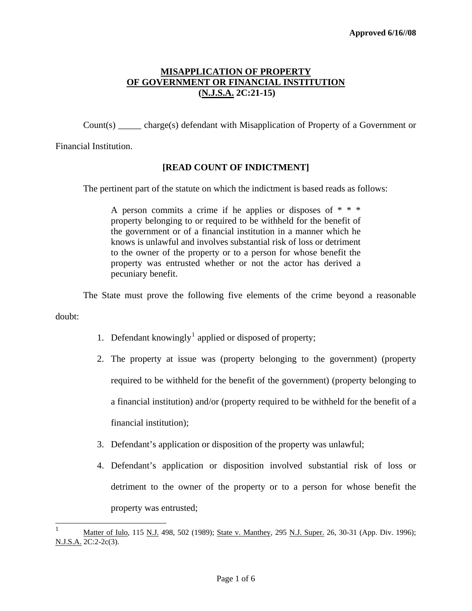Count(s) \_\_\_\_\_ charge(s) defendant with Misapplication of Property of a Government or

Financial Institution.

### **[READ COUNT OF INDICTMENT]**

The pertinent part of the statute on which the indictment is based reads as follows:

A person commits a crime if he applies or disposes of  $* * *$ property belonging to or required to be withheld for the benefit of the government or of a financial institution in a manner which he knows is unlawful and involves substantial risk of loss or detriment to the owner of the property or to a person for whose benefit the property was entrusted whether or not the actor has derived a pecuniary benefit.

The State must prove the following five elements of the crime beyond a reasonable

doubt:

- [1](#page-0-0). Defendant knowingly<sup>1</sup> applied or disposed of property;
- 2. The property at issue was (property belonging to the government) (property required to be withheld for the benefit of the government) (property belonging to a financial institution) and/or (property required to be withheld for the benefit of a financial institution);
- 3. Defendant's application or disposition of the property was unlawful;
- 4. Defendant's application or disposition involved substantial risk of loss or detriment to the owner of the property or to a person for whose benefit the property was entrusted;

<span id="page-0-1"></span><span id="page-0-0"></span> $\frac{1}{1}$ Matter of Iulo, 115 N.J. 498, 502 (1989); State v. Manthey, 295 N.J. Super. 26, 30-31 (App. Div. 1996); N.J.S.A. 2C:2-2c(3).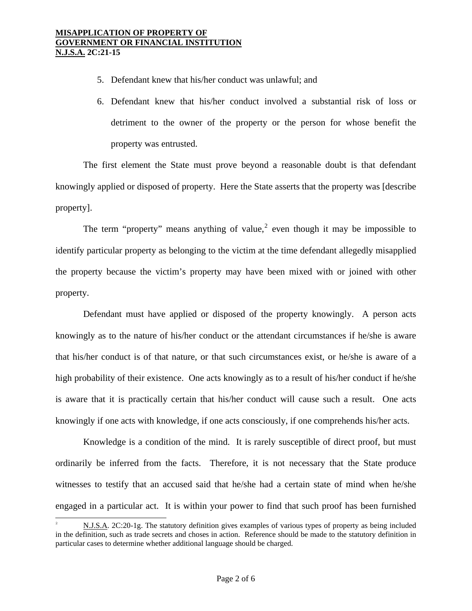- 5. Defendant knew that his/her conduct was unlawful; and
- 6. Defendant knew that his/her conduct involved a substantial risk of loss or detriment to the owner of the property or the person for whose benefit the property was entrusted.

 The first element the State must prove beyond a reasonable doubt is that defendant knowingly applied or disposed of property. Here the State asserts that the property was [describe property].

The term "property" means anything of value,<sup>[2](#page-0-1)</sup> even though it may be impossible to identify particular property as belonging to the victim at the time defendant allegedly misapplied the property because the victim's property may have been mixed with or joined with other property.

 Defendant must have applied or disposed of the property knowingly. A person acts knowingly as to the nature of his/her conduct or the attendant circumstances if he/she is aware that his/her conduct is of that nature, or that such circumstances exist, or he/she is aware of a high probability of their existence. One acts knowingly as to a result of his/her conduct if he/she is aware that it is practically certain that his/her conduct will cause such a result. One acts knowingly if one acts with knowledge, if one acts consciously, if one comprehends his/her acts.

Knowledge is a condition of the mind. It is rarely susceptible of direct proof, but must ordinarily be inferred from the facts. Therefore, it is not necessary that the State produce witnesses to testify that an accused said that he/she had a certain state of mind when he/she engaged in a particular act. It is within your power to find that such proof has been furnished

i<br>L

<span id="page-1-0"></span><sup>2</sup> N.J.S.A. 2C:20-1g. The statutory definition gives examples of various types of property as being included in the definition, such as trade secrets and choses in action. Reference should be made to the statutory definition in particular cases to determine whether additional language should be charged.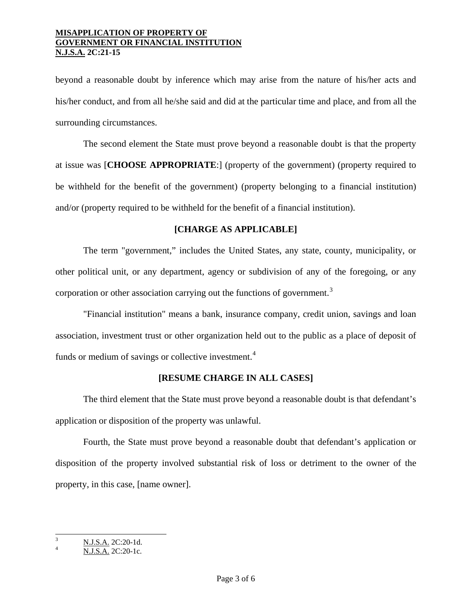beyond a reasonable doubt by inference which may arise from the nature of his/her acts and his/her conduct, and from all he/she said and did at the particular time and place, and from all the surrounding circumstances.

The second element the State must prove beyond a reasonable doubt is that the property at issue was [**CHOOSE APPROPRIATE**:] (property of the government) (property required to be withheld for the benefit of the government) (property belonging to a financial institution) and/or (property required to be withheld for the benefit of a financial institution).

## **[CHARGE AS APPLICABLE]**

The term "government," includes the United States, any state, county, municipality, or other political unit, or any department, agency or subdivision of any of the foregoing, or any corporation or other association carrying out the functions of government.<sup>[3](#page-1-0)</sup>

"Financial institution" means a bank, insurance company, credit union, savings and loan association, investment trust or other organization held out to the public as a place of deposit of funds or medium of savings or collective investment.<sup>[4](#page-2-0)</sup>

### **[RESUME CHARGE IN ALL CASES]**

The third element that the State must prove beyond a reasonable doubt is that defendant's application or disposition of the property was unlawful.

Fourth, the State must prove beyond a reasonable doubt that defendant's application or disposition of the property involved substantial risk of loss or detriment to the owner of the property, in this case, [name owner].

<span id="page-2-1"></span> 3  $\frac{N.J.S.A.}{N.I.S.A.}$  2C:20-1d.

<span id="page-2-0"></span>N.J.S.A. 2C:20-1c.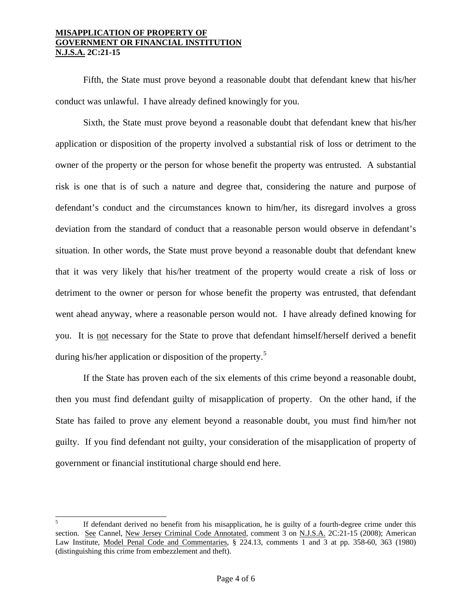Fifth, the State must prove beyond a reasonable doubt that defendant knew that his/her conduct was unlawful. I have already defined knowingly for you.

Sixth, the State must prove beyond a reasonable doubt that defendant knew that his/her application or disposition of the property involved a substantial risk of loss or detriment to the owner of the property or the person for whose benefit the property was entrusted. A substantial risk is one that is of such a nature and degree that, considering the nature and purpose of defendant's conduct and the circumstances known to him/her, its disregard involves a gross deviation from the standard of conduct that a reasonable person would observe in defendant's situation. In other words, the State must prove beyond a reasonable doubt that defendant knew that it was very likely that his/her treatment of the property would create a risk of loss or detriment to the owner or person for whose benefit the property was entrusted, that defendant went ahead anyway, where a reasonable person would not. I have already defined knowing for you. It is not necessary for the State to prove that defendant himself/herself derived a benefit during his/her application or disposition of the property.<sup>[5](#page-2-1)</sup>

If the State has proven each of the six elements of this crime beyond a reasonable doubt, then you must find defendant guilty of misapplication of property. On the other hand, if the State has failed to prove any element beyond a reasonable doubt, you must find him/her not guilty. If you find defendant not guilty, your consideration of the misapplication of property of government or financial institutional charge should end here.

<span id="page-3-0"></span> 5 If defendant derived no benefit from his misapplication, he is guilty of a fourth-degree crime under this section. See Cannel, New Jersey Criminal Code Annotated, comment 3 on N.J.S.A. 2C:21-15 (2008); American Law Institute, Model Penal Code and Commentaries, § 224.13, comments 1 and 3 at pp. 358-60, 363 (1980) (distinguishing this crime from embezzlement and theft).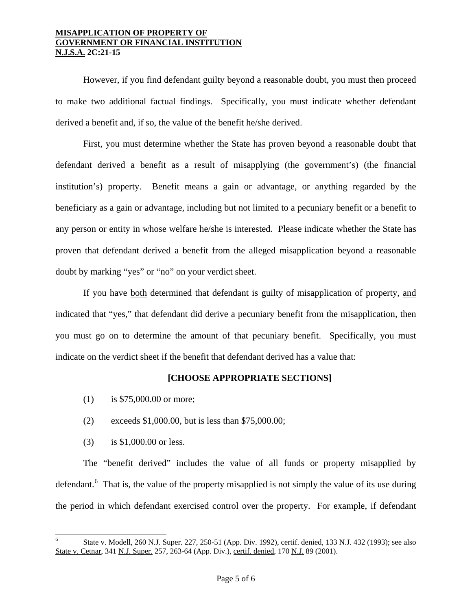However, if you find defendant guilty beyond a reasonable doubt, you must then proceed to make two additional factual findings. Specifically, you must indicate whether defendant derived a benefit and, if so, the value of the benefit he/she derived.

First, you must determine whether the State has proven beyond a reasonable doubt that defendant derived a benefit as a result of misapplying (the government's) (the financial institution's) property. Benefit means a gain or advantage, or anything regarded by the beneficiary as a gain or advantage, including but not limited to a pecuniary benefit or a benefit to any person or entity in whose welfare he/she is interested. Please indicate whether the State has proven that defendant derived a benefit from the alleged misapplication beyond a reasonable doubt by marking "yes" or "no" on your verdict sheet.

 If you have both determined that defendant is guilty of misapplication of property, and indicated that "yes," that defendant did derive a pecuniary benefit from the misapplication, then you must go on to determine the amount of that pecuniary benefit. Specifically, you must indicate on the verdict sheet if the benefit that defendant derived has a value that:

### **[CHOOSE APPROPRIATE SECTIONS]**

- (1) is \$75,000.00 or more;
- (2) exceeds \$1,000.00, but is less than \$75,000.00;
- (3) is \$1,000.00 or less.

i<br>L

 The "benefit derived" includes the value of all funds or property misapplied by defendant.<sup>[6](#page-3-0)</sup> That is, the value of the property misapplied is not simply the value of its use during the period in which defendant exercised control over the property. For example, if defendant

<span id="page-4-0"></span><sup>6</sup> State v. Modell, 260 N.J. Super. 227, 250-51 (App. Div. 1992), certif. denied, 133 N.J. 432 (1993); see also State v. Cetnar, 341 N.J. Super. 257, 263-64 (App. Div.), certif. denied, 170 N.J. 89 (2001).